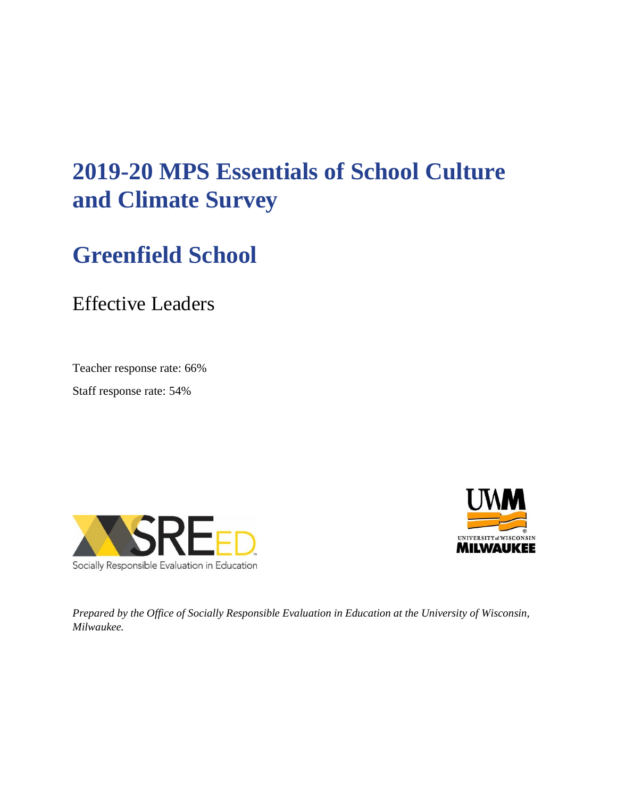# **2019-20 MPS Essentials of School Culture and Climate Survey**

# **Greenfield School**

Effective Leaders

Teacher response rate: 66%

Staff response rate: 54%





*Prepared by the Office of Socially Responsible Evaluation in Education at the University of Wisconsin, Milwaukee.*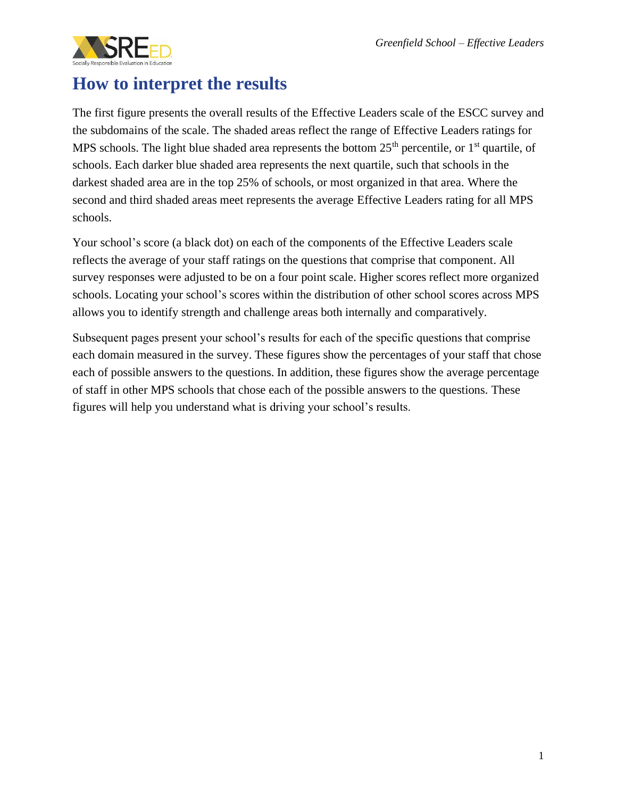

#### **How to interpret the results**

The first figure presents the overall results of the Effective Leaders scale of the ESCC survey and the subdomains of the scale. The shaded areas reflect the range of Effective Leaders ratings for MPS schools. The light blue shaded area represents the bottom  $25<sup>th</sup>$  percentile, or  $1<sup>st</sup>$  quartile, of schools. Each darker blue shaded area represents the next quartile, such that schools in the darkest shaded area are in the top 25% of schools, or most organized in that area. Where the second and third shaded areas meet represents the average Effective Leaders rating for all MPS schools.

Your school's score (a black dot) on each of the components of the Effective Leaders scale reflects the average of your staff ratings on the questions that comprise that component. All survey responses were adjusted to be on a four point scale. Higher scores reflect more organized schools. Locating your school's scores within the distribution of other school scores across MPS allows you to identify strength and challenge areas both internally and comparatively.

Subsequent pages present your school's results for each of the specific questions that comprise each domain measured in the survey. These figures show the percentages of your staff that chose each of possible answers to the questions. In addition, these figures show the average percentage of staff in other MPS schools that chose each of the possible answers to the questions. These figures will help you understand what is driving your school's results.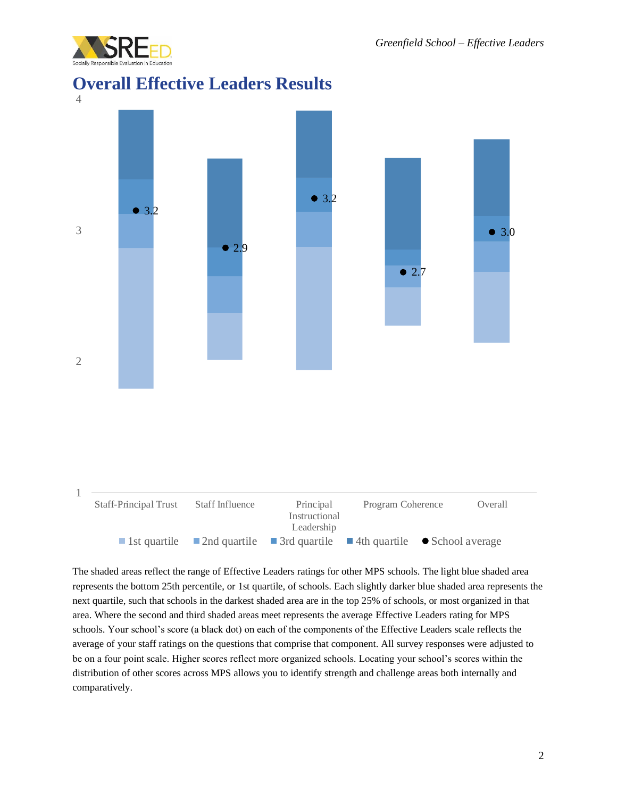

#### **Overall Effective Leaders Results**



The shaded areas reflect the range of Effective Leaders ratings for other MPS schools. The light blue shaded area represents the bottom 25th percentile, or 1st quartile, of schools. Each slightly darker blue shaded area represents the next quartile, such that schools in the darkest shaded area are in the top 25% of schools, or most organized in that area. Where the second and third shaded areas meet represents the average Effective Leaders rating for MPS schools. Your school's score (a black dot) on each of the components of the Effective Leaders scale reflects the average of your staff ratings on the questions that comprise that component. All survey responses were adjusted to be on a four point scale. Higher scores reflect more organized schools. Locating your school's scores within the distribution of other scores across MPS allows you to identify strength and challenge areas both internally and comparatively.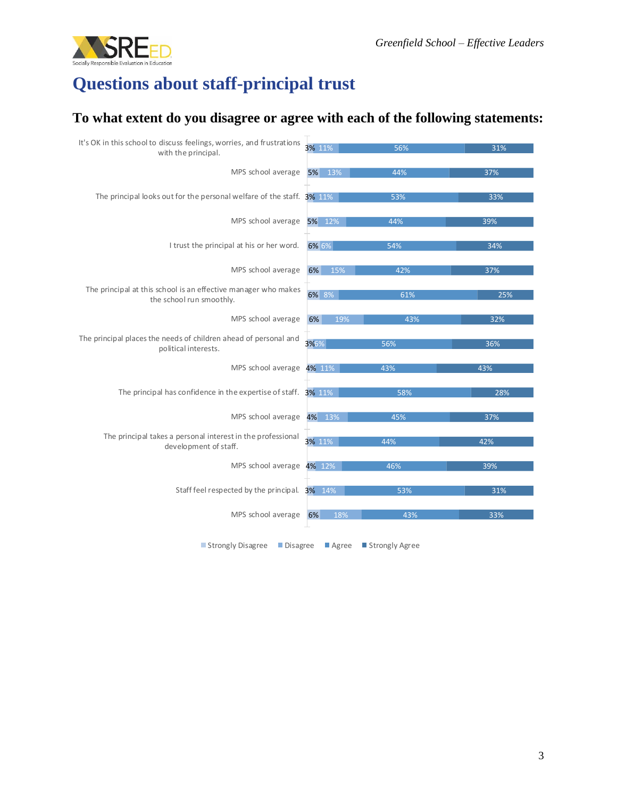

## **Questions about staff-principal trust**

#### **To what extent do you disagree or agree with each of the following statements:**

| It's OK in this school to discuss feelings, worries, and frustrations<br>with the principal. | 3% 11%    | 56%              | 31% |
|----------------------------------------------------------------------------------------------|-----------|------------------|-----|
|                                                                                              |           |                  |     |
| MPS school average                                                                           | 5% 13%    | 44%              | 37% |
| The principal looks out for the personal welfare of the staff. 3% 11%                        |           | 53%              | 33% |
| MPS school average                                                                           | 5% 12%    | 44%              | 39% |
| I trust the principal at his or her word.                                                    | 6% 6%     | 54%              | 34% |
| MPS school average                                                                           | 15%<br>6% | 42%              | 37% |
| The principal at this school is an effective manager who makes<br>the school run smoothly.   | 6% 8%     | 61%              | 25% |
| MPS school average                                                                           | 6%<br>19% | 43%              | 32% |
| The principal places the needs of children ahead of personal and<br>political interests.     | 3%6%      | 56%              | 36% |
| MPS school average 4% 11%                                                                    |           | 43%              | 43% |
| The principal has confidence in the expertise of staff. 3% 11%                               |           | 58%              | 28% |
| MPS school average 4% 13%                                                                    |           | 45%              | 37% |
| The principal takes a personal interest in the professional<br>development of staff.         | 3% 11%    | 44%              | 42% |
| MPS school average 4% 12%                                                                    |           | 46%              | 39% |
| Staff feel respected by the principal. 3% 14%                                                |           | 53%              | 31% |
| MPS school average                                                                           | 18%<br>6% | 43%              | 33% |
| Strongly Disagree<br>$\blacksquare$ Disagree                                                 | Agree     | ■ Strongly Agree |     |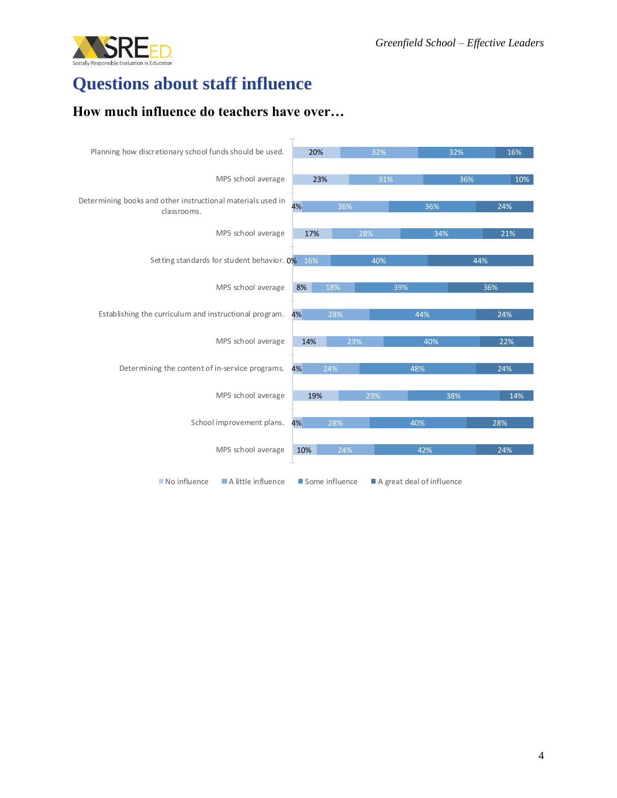

## **Questions about staff influence**

#### **How much influence do teachers have over…**

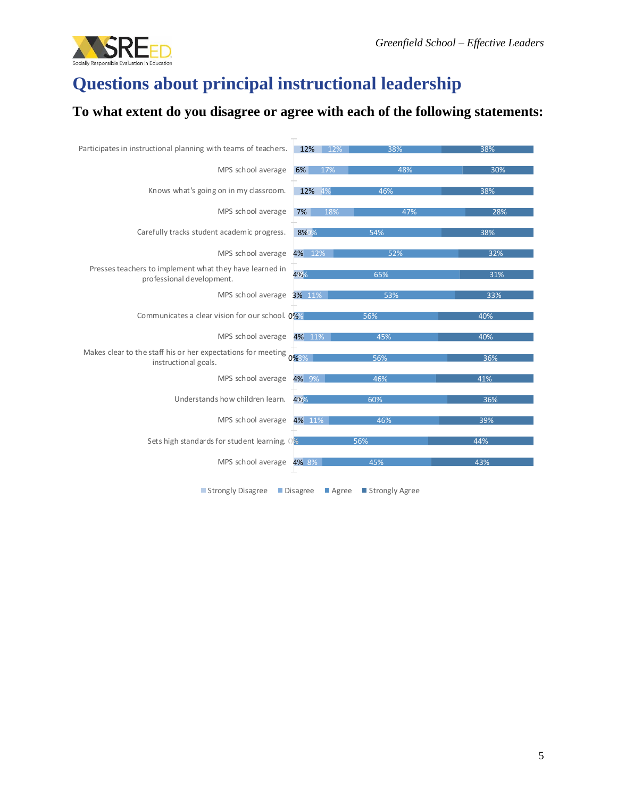

## **Questions about principal instructional leadership**

#### **To what extent do you disagree or agree with each of the following statements:**

| Participates in instructional planning with teams of teachers.                            | 12%       | 12%<br>38% | 38% |
|-------------------------------------------------------------------------------------------|-----------|------------|-----|
| MPS school average                                                                        | 6%<br>17% | 48%        | 30% |
| Knows what's going on in my classroom.                                                    | 12% 4%    | 46%        | 38% |
| MPS school average                                                                        | 7%        | 18%<br>47% | 28% |
| Carefully tracks student academic progress.                                               | 8%%       | 54%        | 38% |
| MPS school average                                                                        | 4% 12%    | 52%        | 32% |
| Presses teachers to implement what they have learned in<br>professional development.      | 425%      | 65%        | 31% |
| MPS school average 3% 11%                                                                 |           | 53%        | 33% |
| Communicates a clear vision for our school. 0%                                            |           | 56%        | 40% |
| MPS school average                                                                        | 4% 11%    | 45%        | 40% |
| Makes clear to the staff his or her expectations for meeting 0%3%<br>instructional goals. |           | 56%        | 36% |
| MPS school average                                                                        | 4% 9%     | 46%        | 41% |
| Understands how children learn.                                                           | 42%       | 60%        | 36% |
| MPS school average                                                                        | 4% 11%    | 46%        | 39% |
| Sets high standards for student learning. 0%                                              |           | 56%        | 44% |
| MPS school average 4% 8%                                                                  |           | 45%        | 43% |
|                                                                                           |           |            |     |

■ Strongly Disagree ■ Disagree ■ Agree ■ Strongly Agree